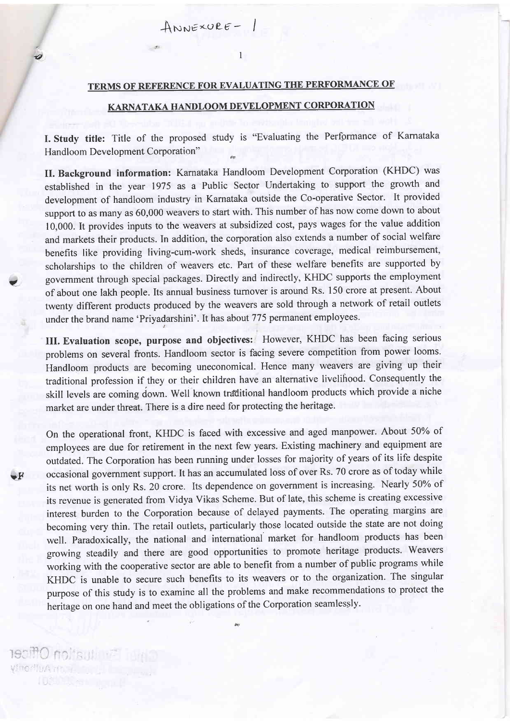## TERMS OF REFERENCE FOR EVALUATING THE PERFORMANCE OF

 $\mathbf{1}$ 

 $Answer-1$ 

## KARNATAKA HANDLOOM DEVELOPMENT CORPORATION

I. Study title: Title of the proposed study is "Evaluating the Perfprmance of Kamataka Handloom Development Corporation" 6s

II. Background information: Karnataka Handloom Development Corporation (KHDC) was established in the year 1975 as a Public Sector Undertaking to support the growth and development of handloom industry in Karnataka outside the Co-operative Sector. It provided suppott to as many as 60,000 weavers to start with. This number of has now come down to about 10,000. It provides inputs to the weavers at subsidized cost, pays wages for the value addition and markets their products. In addition, the corporation also extends a number of social welfare benefits like providing living-cum-work sheds, insurance coverage, medical reimbursement, scholarships to the children of weavers etc. Part of these welfare benefits are supported by govemment through special packages. Directly and indirectly, KHDC supports the employment of about one lakh people. Its annual business turnover is around Rs. 150 crore at present. About twenty different products produced by the weavers are sold through a network of retail outlets under the brand name 'Priyadarshini'. It has about 775 permanent employees.

 $\blacktriangledown$ 

 $\mathbf{F}$ 

lua'ion Officer yfnorffuArrow in

€1

III. Evaluation scope, purpose and objectives: However, KHDC has been facing serious problems on several fronts. Handloom sector is facing severe competition from power looms. Handloom products are becoming uneconomical. Hence many weavers are giving up their traditional profession if they or their children have an alternative livelihood. Consequently the skill levels are coming down. Well known traditional handloom products which provide a niche market are under threat. There is a dire need for protecting the heritage.

On the operational front, KHDC is faced with excessive and aged manpower. About 50% of employees are due for retirement in the next few years. Existing machinery and equipment are outdated. The Corporation has been running under losses for majority of years of its life despite occasional government support. It has an accumulated loss of over Rs. 70 crore as of today while its net worth is only Rs. 20 crore. Its dependence on government is increasing. Nearly 50% of its revenue is generated from Vidya Vikas Scheme. But of late, this scheme is creating excessive interest burden to the Corporation because of delayed payments. The operating margins are becoming very thin. The retail outlets, particularly those located outside the state are not doing well. Paradoxically, the national and intemational market for handloom products has been growing steadily and there are good opportunities to promote heritage products. Weavers working with the cooperative sector are able to benefit from a number of public programs while KHDC is unable to secure such benefits to its weavers or to the organization. The singular purpose of this study is to examine all the problems and make recommendations to protect the heritage on one hand and meet the obligations of the Corporation seamlessly.